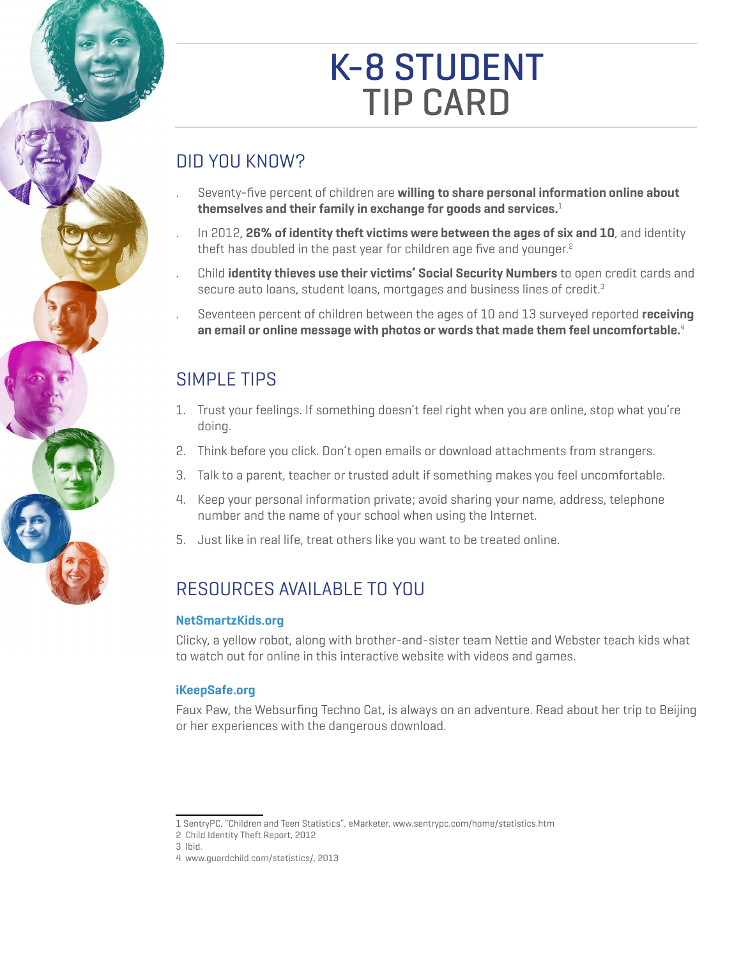# K-8 STUDENT Tip CarD

## DiD You Know?

- Seventy-five percent of children are willing to share personal information online about **themselves and their family in exchange for goods and services.**<sup>1</sup>
- In 2012, 26% of identity theft victims were between the ages of six and 10, and identity theft has doubled in the past year for children age five and younger.<sup>2</sup>
- Child *identity thieves use their victims' Social Security Numbers* to open credit cards and secure auto loans, student loans, mortgages and business lines of credit.<sup>3</sup>
- Seventeen percent of children between the ages of 10 and 13 surveyed reported **receiving an email or online message with photos or words that made them feel uncomfortable.**<sup>4</sup>

## Simple TipS

- 1. Trust your feelings. If something doesn't feel right when you are online, stop what you're doing.
- 2. Think before you click. Don't open emails or download attachments from strangers.
- 3. Talk to a parent, teacher or trusted adult if something makes you feel uncomfortable.
- 4. Keep your personal information private; avoid sharing your name, address, telephone number and the name of your school when using the internet.
- 5. Just like in real life, treat others like you want to be treated online.

## RESOURCES AVAILABLE TO YOU

#### **[NetSmartzKids.org](http://www.NetSmartzKids.org)**

Clicky, a yellow robot, along with brother-and-sister team nettie and webster teach kids what to watch out for online in this interactive website with videos and games.

#### **[iKeepSafe.org](http://www.iKeepSafe.org)**

Faux paw, the websurfing Techno Cat, is always on an adventure. Read about her trip to beijing or her experiences with the dangerous download.

<sup>1</sup> SentrypC, "Children and Teen Statistics", emarketer, [www.sentrypc.com/home/statistics.htm](http://www.sentrypc.com/home/statistics.htm)

<sup>2</sup> Child identity Theft Report, 2012

<sup>3</sup> ibid.

<sup>4</sup> [www.guardchild.com/statistics/](http://www.guardchild.com/statistics/), 2013